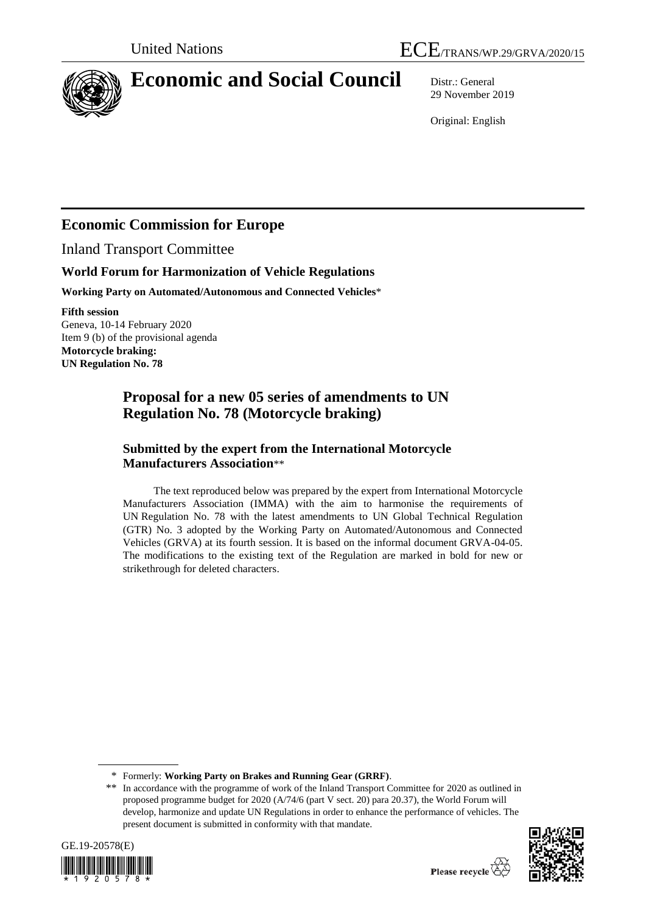

# **Economic and Social Council** Distr.: General

29 November 2019

Original: English

# **Economic Commission for Europe**

Inland Transport Committee

#### **World Forum for Harmonization of Vehicle Regulations**

**Working Party on Automated/Autonomous and Connected Vehicles**\*

**Fifth session** Geneva, 10-14 February 2020 Item 9 (b) of the provisional agenda **Motorcycle braking: UN Regulation No. 78**

## **Proposal for a new 05 series of amendments to UN Regulation No. 78 (Motorcycle braking)**

#### **Submitted by the expert from the International Motorcycle Manufacturers Association**\*\*

The text reproduced below was prepared by the expert from International Motorcycle Manufacturers Association (IMMA) with the aim to harmonise the requirements of UN Regulation No. 78 with the latest amendments to UN Global Technical Regulation (GTR) No. 3 adopted by the Working Party on Automated/Autonomous and Connected Vehicles (GRVA) at its fourth session. It is based on the informal document GRVA-04-05. The modifications to the existing text of the Regulation are marked in bold for new or strikethrough for deleted characters.

<sup>\*\*</sup> In accordance with the programme of work of the Inland Transport Committee for 2020 as outlined in proposed programme budget for 2020 (A/74/6 (part V sect. 20) para 20.37), the World Forum will develop, harmonize and update UN Regulations in order to enhance the performance of vehicles. The present document is submitted in conformity with that mandate.





<sup>\*</sup> Formerly: **Working Party on Brakes and Running Gear (GRRF)**.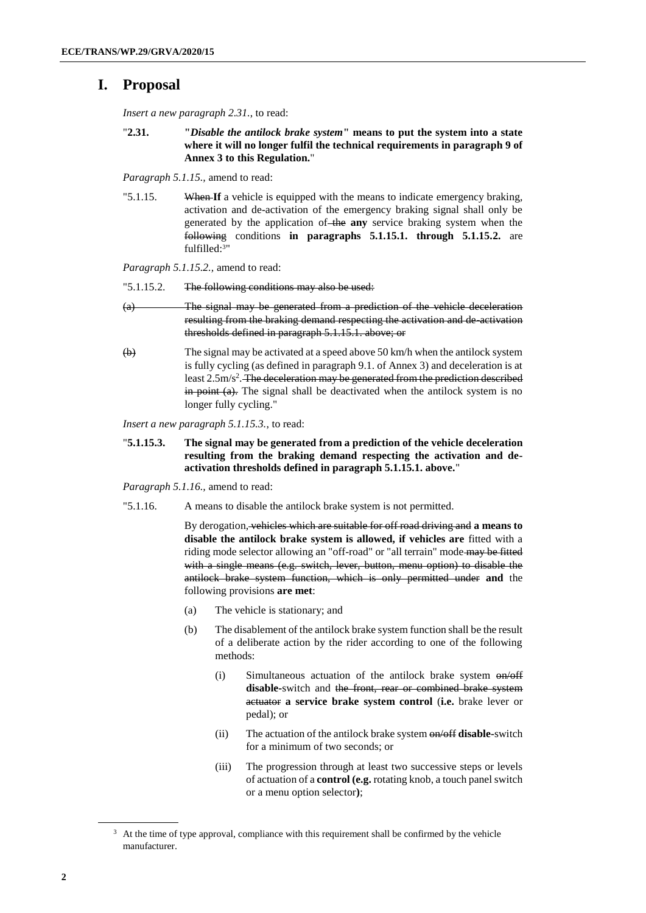#### **I. Proposal**

*Insert a new paragraph 2.31.*, to read:

"**2.31. "***Disable the antilock brake system***" means to put the system into a state where it will no longer fulfil the technical requirements in paragraph 9 of Annex 3 to this Regulation.**"

*Paragraph 5.1.15.,* amend to read:

"5.1.15. When **If** a vehicle is equipped with the means to indicate emergency braking, activation and de-activation of the emergency braking signal shall only be generated by the application of the **any** service braking system when the following conditions **in paragraphs 5.1.15.1. through 5.1.15.2.** are fulfilled: 3"

*Paragraph 5.1.15.2.,* amend to read:

- "5.1.15.2. The following conditions may also be used:
- (a) The signal may be generated from a prediction of the vehicle deceleration resulting from the braking demand respecting the activation and de-activation thresholds defined in paragraph 5.1.15.1. above; or
- $\overleftrightarrow{b}$  The signal may be activated at a speed above 50 km/h when the antilock system is fully cycling (as defined in paragraph 9.1. of Annex 3) and deceleration is at least 2.5m/s<sup>2</sup>. The deceleration may be generated from the prediction described  $\frac{1}{2}$  in point (a). The signal shall be deactivated when the antilock system is no longer fully cycling."

*Insert a new paragraph 5.1.15.3.*, to read:

- "**5.1.15.3. The signal may be generated from a prediction of the vehicle deceleration resulting from the braking demand respecting the activation and deactivation thresholds defined in paragraph 5.1.15.1. above.**"
- *Paragraph 5.1.16.,* amend to read:
- "5.1.16. A means to disable the antilock brake system is not permitted.

By derogation, vehicles which are suitable for off road driving and **a means to disable the antilock brake system is allowed, if vehicles are** fitted with a riding mode selector allowing an "off-road" or "all terrain" mode may be fitted with a single means (e.g. switch, lever, button, menu option) to disable the antilock brake system function, which is only permitted under **and** the following provisions **are met**:

- (a) The vehicle is stationary; and
- (b) The disablement of the antilock brake system function shall be the result of a deliberate action by the rider according to one of the following methods:
	- (i) Simultaneous actuation of the antilock brake system on/off disable-switch and the front, rear or combined brake system actuator **a service brake system control** (**i.e.** brake lever or pedal); or
	- (ii) The actuation of the antilock brake system on/off **disable-**switch for a minimum of two seconds; or
	- (iii) The progression through at least two successive steps or levels of actuation of a **control (e.g.** rotating knob, a touch panel switch or a menu option selector**)**;

<sup>&</sup>lt;sup>3</sup> At the time of type approval, compliance with this requirement shall be confirmed by the vehicle manufacturer.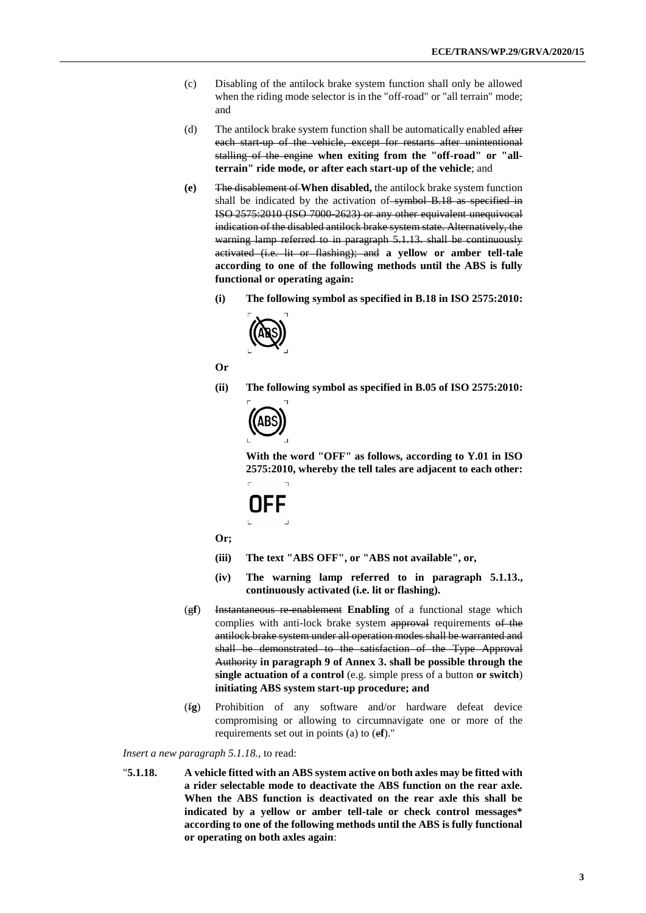- (c) Disabling of the antilock brake system function shall only be allowed when the riding mode selector is in the "off-road" or "all terrain" mode; and
- (d) The antilock brake system function shall be automatically enabled after each start-up of the vehicle, except for restarts after unintentional stalling of the engine **when exiting from the "off-road" or "allterrain" ride mode, or after each start-up of the vehicle**; and
- **(e)** The disablement of **When disabled,** the antilock brake system function shall be indicated by the activation of symbol B.18 as specified in ISO 2575:2010 (ISO 7000-2623) or any other equivalent unequivocal indication of the disabled antilock brake system state. Alternatively, the warning lamp referred to in paragraph 5.1.13. shall be continuously activated (i.e. lit or flashing); and **a yellow or amber tell-tale according to one of the following methods until the ABS is fully functional or operating again:**
	- **(i) The following symbol as specified in B.18 in ISO 2575:2010:**



**Or**

**(ii) The following symbol as specified in B.05 of ISO 2575:2010:**



**With the word "OFF" as follows, according to Y.01 in ISO 2575:2010, whereby the tell tales are adjacent to each other:**

# OFF

**Or;**

- **(iii) The text "ABS OFF", or "ABS not available", or,**
- **(iv) The warning lamp referred to in paragraph 5.1.13., continuously activated (i.e. lit or flashing).**
- (g**f**) Instantaneous re-enablement **Enabling** of a functional stage which complies with anti-lock brake system approval requirements of the antilock brake system under all operation modes shall be warranted and shall be demonstrated to the satisfaction of the Type Approval Authority **in paragraph 9 of Annex 3. shall be possible through the single actuation of a control** (e.g. simple press of a button **or switch**) **initiating ABS system start-up procedure; and**
- (f**g**) Prohibition of any software and/or hardware defeat device compromising or allowing to circumnavigate one or more of the requirements set out in points (a) to (e**f**)."

*Insert a new paragraph 5.1.18.*, to read:

"**5.1.18. A vehicle fitted with an ABS system active on both axles may be fitted with a rider selectable mode to deactivate the ABS function on the rear axle. When the ABS function is deactivated on the rear axle this shall be indicated by a yellow or amber tell-tale or check control messages\* according to one of the following methods until the ABS is fully functional or operating on both axles again**: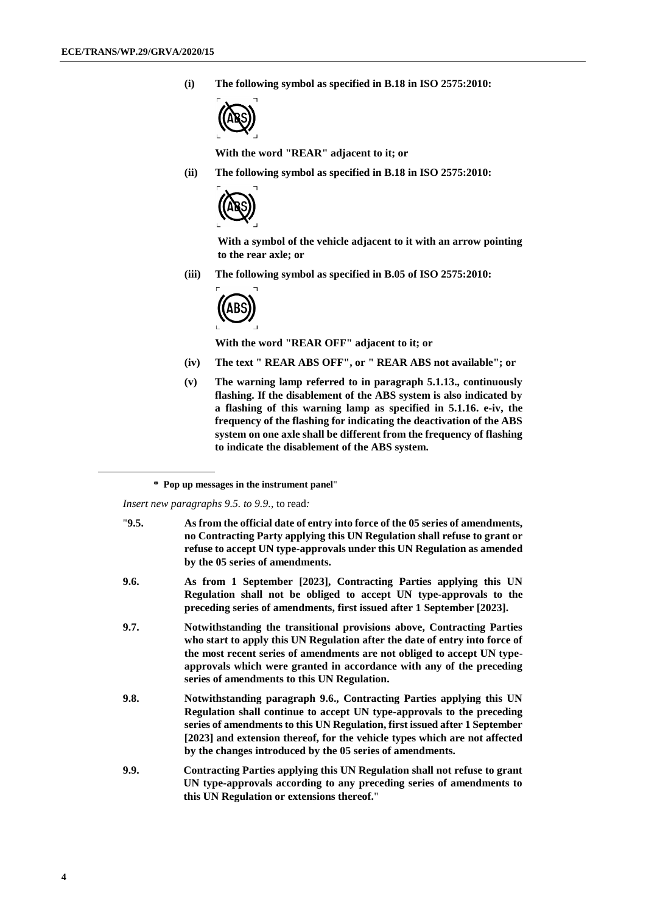**(i) The following symbol as specified in B.18 in ISO 2575:2010:**



**With the word "REAR" adjacent to it; or**

**(ii) The following symbol as specified in B.18 in ISO 2575:2010:**



**With a symbol of the vehicle adjacent to it with an arrow pointing to the rear axle; or**

**(iii) The following symbol as specified in B.05 of ISO 2575:2010:**



**With the word "REAR OFF" adjacent to it; or**

- **(iv) The text " REAR ABS OFF", or " REAR ABS not available"; or**
- **(v) The warning lamp referred to in paragraph 5.1.13., continuously flashing. If the disablement of the ABS system is also indicated by a flashing of this warning lamp as specified in 5.1.16. e-iv, the frequency of the flashing for indicating the deactivation of the ABS system on one axle shall be different from the frequency of flashing to indicate the disablement of the ABS system.**

*Insert new paragraphs 9.5. to 9.9.*, to read*:*

| "9.5. | As from the official date of entry into force of the 05 series of amendments,<br>no Contracting Party applying this UN Regulation shall refuse to grant or<br>refuse to accept UN type-approvals under this UN Regulation as amended<br>by the 05 series of amendments.                                                                                                 |
|-------|-------------------------------------------------------------------------------------------------------------------------------------------------------------------------------------------------------------------------------------------------------------------------------------------------------------------------------------------------------------------------|
| 9.6.  | As from 1 September [2023], Contracting Parties applying this UN<br>Regulation shall not be obliged to accept UN type-approvals to the<br>preceding series of amendments, first issued after 1 September [2023].                                                                                                                                                        |
| 9.7.  | Notwithstanding the transitional provisions above, Contracting Parties<br>who start to apply this UN Regulation after the date of entry into force of<br>the most recent series of amendments are not obliged to accept UN type-<br>approvals which were granted in accordance with any of the preceding<br>series of amendments to this UN Regulation.                 |
| 9.8.  | Notwithstanding paragraph 9.6., Contracting Parties applying this UN<br>Regulation shall continue to accept UN type-approvals to the preceding<br>series of amendments to this UN Regulation, first issued after 1 September<br>[2023] and extension thereof, for the vehicle types which are not affected<br>by the changes introduced by the 05 series of amendments. |
| 9.9.  | Contracting Parties applying this UN Regulation shall not refuse to grant<br>UN type-approvals according to any preceding series of amendments to<br>this UN Regulation or extensions thereof."                                                                                                                                                                         |

**<sup>\*</sup> Pop up messages in the instrument panel**"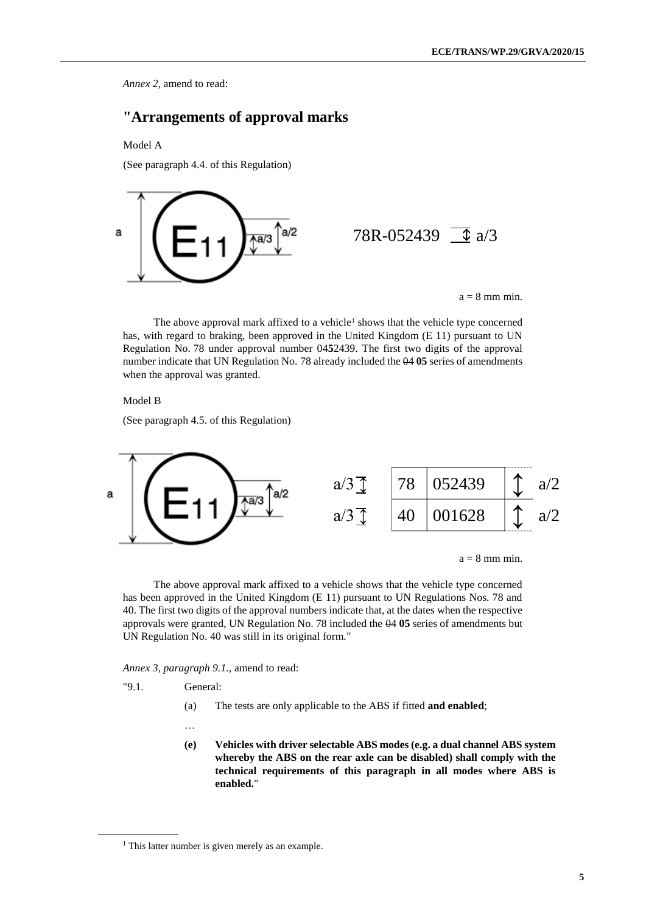*Annex 2,* amend to read:

#### **"Arrangements of approval marks**

Model A

(See paragraph 4.4. of this Regulation)



 $a = 8$  mm min.

The above approval mark affixed to a vehicle<sup>1</sup> shows that the vehicle type concerned has, with regard to braking, been approved in the United Kingdom (E 11) pursuant to UN Regulation No. 78 under approval number 04**5**2439. The first two digits of the approval number indicate that UN Regulation No. 78 already included the 04 **05** series of amendments when the approval was granted.

Model B

(See paragraph 4.5. of this Regulation)



 $a = 8$  mm min.

The above approval mark affixed to a vehicle shows that the vehicle type concerned has been approved in the United Kingdom (E 11) pursuant to UN Regulations Nos. 78 and 40. The first two digits of the approval numbers indicate that, at the dates when the respective approvals were granted, UN Regulation No. 78 included the 04 **05** series of amendments but UN Regulation No. 40 was still in its original form."

*Annex 3, paragraph 9.1.,* amend to read:

"9.1. General:

(a) The tests are only applicable to the ABS if fitted **and enabled**;

…

**(e) Vehicles with driver selectable ABS modes (e.g. a dual channel ABS system whereby the ABS on the rear axle can be disabled) shall comply with the technical requirements of this paragraph in all modes where ABS is enabled.**"

<sup>&</sup>lt;sup>1</sup> This latter number is given merely as an example.